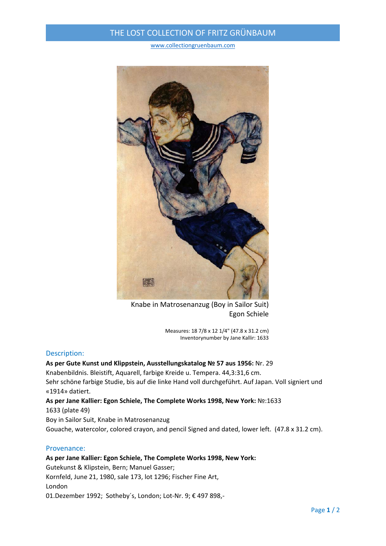## THE LOST COLLECTION OF FRITZ GRÜNBAUM

www.collectiongruenbaum.com



Knabe in Matrosenanzug (Boy in Sailor Suit) Egon Schiele

Measures: 18 7/8 x 12 1/4" (47.8 x 31.2 cm) Inventorynumber by Jane Kallir: 1633

#### Description:

# **As per Gute Kunst und Klippstein, Ausstellungskatalog № 57 aus 1956:** Nr. 29

Knabenbildnis. Bleistift, Aquarell, farbige Kreide u. Tempera. 44,3:31,6 cm. Sehr schöne farbige Studie, bis auf die linke Hand voll durchgeführt. Auf Japan. Voll signiert und «1914» datiert.

**As per Jane Kallier: Egon Schiele, The Complete Works 1998, New York:** №:1633 1633 (plate 49)

Boy in Sailor Suit, Knabe in Matrosenanzug

Gouache, watercolor, colored crayon, and pencil Signed and dated, lower left. (47.8 x 31.2 cm).

#### Provenance:

### **As per Jane Kallier: Egon Schiele, The Complete Works 1998, New York:** Gutekunst & Klipstein, Bern; Manuel Gasser; Kornfeld, June 21, 1980, sale 173, lot 1296; Fischer Fine Art, London 01.Dezember 1992; Sotheby´s, London; Lot‐Nr. 9; € 497 898,‐